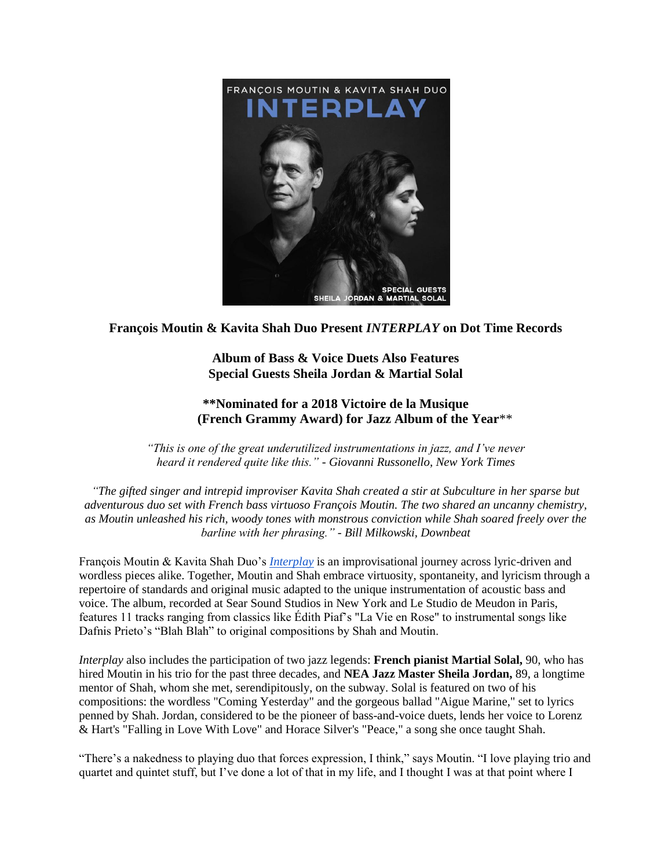

## **François Moutin & Kavita Shah Duo Present** *INTERPLAY* **on Dot Time Records**

**Album of Bass & Voice Duets Also Features Special Guests Sheila Jordan & Martial Solal**

## **\*\*Nominated for a 2018 Victoire de la Musique (French Grammy Award) for Jazz Album of the Year**\*\*

*"This is one of the great underutilized instrumentations in jazz, and I've never heard it rendered quite like this." - Giovanni Russonello, New York Times*

*"The gifted singer and intrepid improviser Kavita Shah created a stir at Subculture in her sparse but adventurous duo set with French bass virtuoso François Moutin. The two shared an uncanny chemistry, as Moutin unleashed his rich, woody tones with monstrous conviction while Shah soared freely over the barline with her phrasing." - Bill Milkowski, Downbeat*

François Moutin & Kavita Shah Duo's *[Interplay](https://www.youtube.com/watch?v=m2b6rFmng_Q)* is an improvisational journey across lyric-driven and wordless pieces alike. Together, Moutin and Shah embrace virtuosity, spontaneity, and lyricism through a repertoire of standards and original music adapted to the unique instrumentation of acoustic bass and voice. The album, recorded at Sear Sound Studios in New York and Le Studio de Meudon in Paris, features 11 tracks ranging from classics like Édith Piaf's "La Vie en Rose" to instrumental songs like Dafnis Prieto's "Blah Blah" to original compositions by Shah and Moutin.

*Interplay* also includes the participation of two jazz legends: **French pianist Martial Solal,** 90, who has hired Moutin in his trio for the past three decades, and **NEA Jazz Master Sheila Jordan,** 89, a longtime mentor of Shah, whom she met, serendipitously, on the subway. Solal is featured on two of his compositions: the wordless "Coming Yesterday" and the gorgeous ballad "Aigue Marine," set to lyrics penned by Shah. Jordan, considered to be the pioneer of bass-and-voice duets, lends her voice to Lorenz & Hart's "Falling in Love With Love" and Horace Silver's "Peace," a song she once taught Shah.

"There's a nakedness to playing duo that forces expression, I think," says Moutin. "I love playing trio and quartet and quintet stuff, but I've done a lot of that in my life, and I thought I was at that point where I